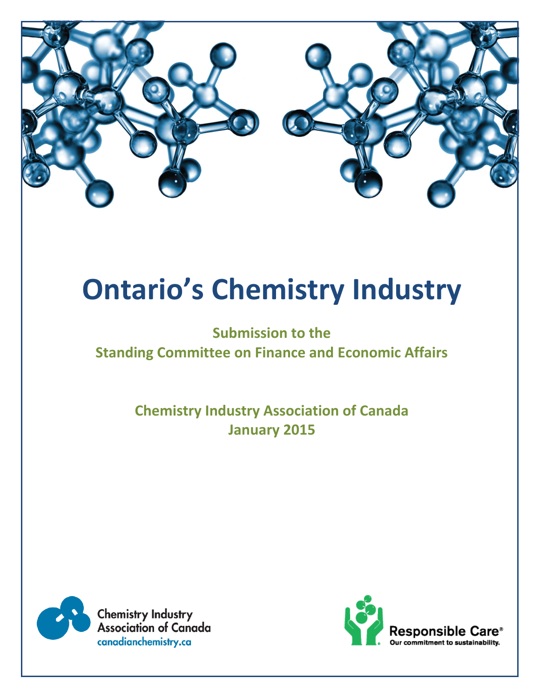

# **Ontario's Chemistry Industry**

## **Submission to the Standing Committee on Finance and Economic Affairs**

**Chemistry Industry Association of Canada January 2015**

![](_page_0_Picture_4.jpeg)

**Chemistry Industry Association of Canada** canadianchemistry.ca

![](_page_0_Picture_6.jpeg)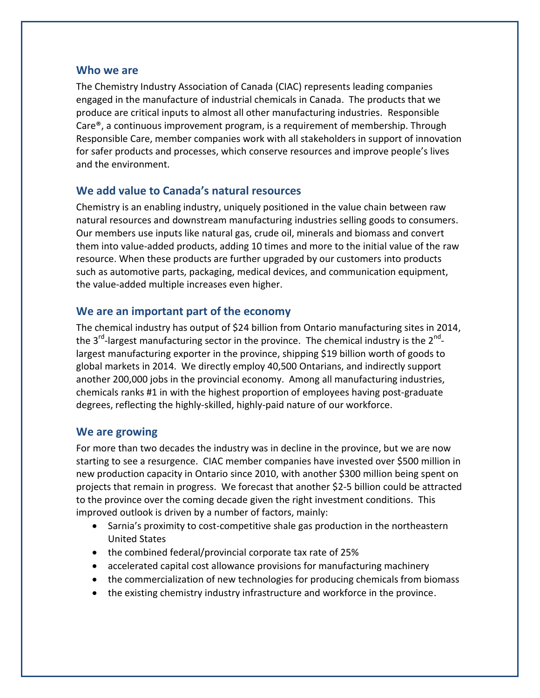#### **Who we are**

The Chemistry Industry Association of Canada (CIAC) represents leading companies engaged in the manufacture of industrial chemicals in Canada. The products that we produce are critical inputs to almost all other manufacturing industries. Responsible Care®, a continuous improvement program, is a requirement of membership. Through Responsible Care, member companies work with all stakeholders in support of innovation for safer products and processes, which conserve resources and improve people's lives and the environment.

#### **We add value to Canada's natural resources**

Chemistry is an enabling industry, uniquely positioned in the value chain between raw natural resources and downstream manufacturing industries selling goods to consumers. Our members use inputs like natural gas, crude oil, minerals and biomass and convert them into value-added products, adding 10 times and more to the initial value of the raw resource. When these products are further upgraded by our customers into products such as automotive parts, packaging, medical devices, and communication equipment, the value-added multiple increases even higher.

#### **We are an important part of the economy**

The chemical industry has output of \$24 billion from Ontario manufacturing sites in 2014, the 3<sup>rd</sup>-largest manufacturing sector in the province. The chemical industry is the 2<sup>nd</sup>largest manufacturing exporter in the province, shipping \$19 billion worth of goods to global markets in 2014. We directly employ 40,500 Ontarians, and indirectly support another 200,000 jobs in the provincial economy. Among all manufacturing industries, chemicals ranks #1 in with the highest proportion of employees having post-graduate degrees, reflecting the highly-skilled, highly-paid nature of our workforce.

#### **We are growing**

For more than two decades the industry was in decline in the province, but we are now starting to see a resurgence. CIAC member companies have invested over \$500 million in new production capacity in Ontario since 2010, with another \$300 million being spent on projects that remain in progress. We forecast that another \$2-5 billion could be attracted to the province over the coming decade given the right investment conditions. This improved outlook is driven by a number of factors, mainly:

- Sarnia's proximity to cost-competitive shale gas production in the northeastern United States
- the combined federal/provincial corporate tax rate of 25%
- accelerated capital cost allowance provisions for manufacturing machinery
- the commercialization of new technologies for producing chemicals from biomass
- the existing chemistry industry infrastructure and workforce in the province.